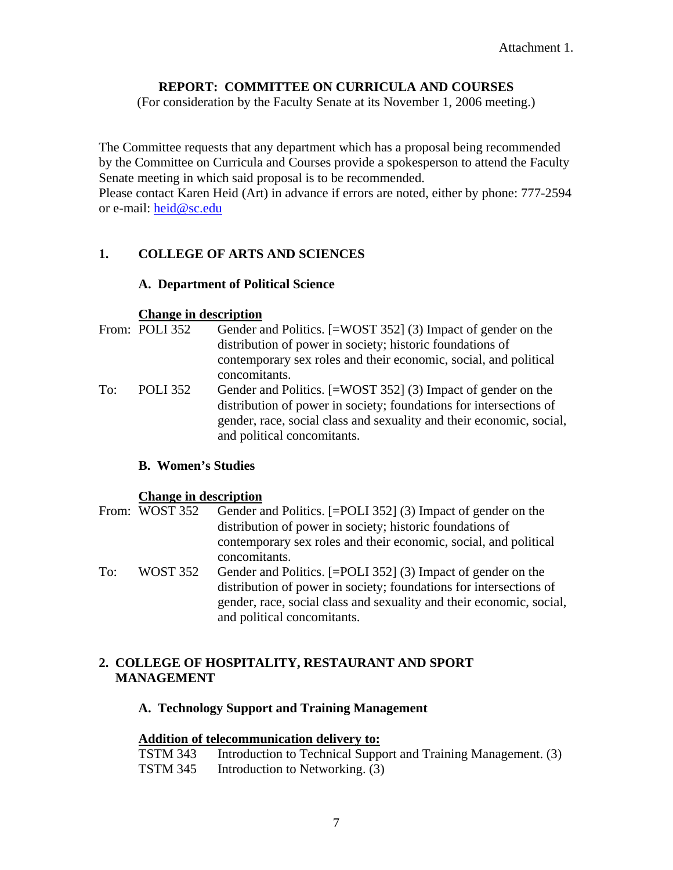# **REPORT: COMMITTEE ON CURRICULA AND COURSES**

(For consideration by the Faculty Senate at its November 1, 2006 meeting.)

The Committee requests that any department which has a proposal being recommended by the Committee on Curricula and Courses provide a spokesperson to attend the Faculty Senate meeting in which said proposal is to be recommended.

Please contact Karen Heid (Art) in advance if errors are noted, either by phone: 777-2594 or e-mail: [heid@sc.edu](mailto:heid@sc.edu)

## **1. COLLEGE OF ARTS AND SCIENCES**

### **A. Department of Political Science**

#### **Change in description**

|     | From: POLI 352  | Gender and Politics. [=WOST 352] (3) Impact of gender on the<br>distribution of power in society; historic foundations of                                                                                                                 |
|-----|-----------------|-------------------------------------------------------------------------------------------------------------------------------------------------------------------------------------------------------------------------------------------|
|     |                 | contemporary sex roles and their economic, social, and political<br>concomitants.                                                                                                                                                         |
| To: | <b>POLI</b> 352 | Gender and Politics. [=WOST 352] (3) Impact of gender on the<br>distribution of power in society; foundations for intersections of<br>gender, race, social class and sexuality and their economic, social,<br>and political concomitants. |

### **B. Women's Studies**

### **Change in description**

|     | From: WOST 352 | Gender and Politics. [=POLI 352] (3) Impact of gender on the<br>distribution of power in society; historic foundations of<br>contemporary sex roles and their economic, social, and political<br>concomitants.                            |
|-----|----------------|-------------------------------------------------------------------------------------------------------------------------------------------------------------------------------------------------------------------------------------------|
| To: | WOST 352       | Gender and Politics. [=POLI 352] (3) Impact of gender on the<br>distribution of power in society; foundations for intersections of<br>gender, race, social class and sexuality and their economic, social,<br>and political concomitants. |

## **2. COLLEGE OF HOSPITALITY, RESTAURANT AND SPORT MANAGEMENT**

### **A. Technology Support and Training Management**

### **Addition of telecommunication delivery to:**

| <b>TSTM 343</b> | Introduction to Technical Support and Training Management. (3) |
|-----------------|----------------------------------------------------------------|
| <b>TSTM 345</b> | Introduction to Networking. (3)                                |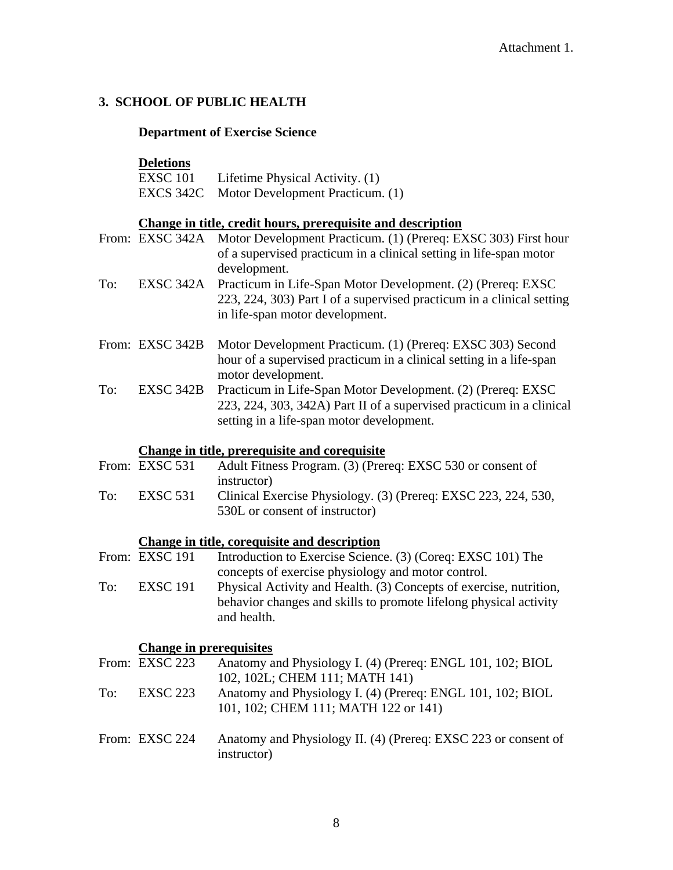## **3. SCHOOL OF PUBLIC HEALTH**

## **Department of Exercise Science**

### **Deletions**

| <b>EXSC 101</b> | Lifetime Physical Activity. (1)            |
|-----------------|--------------------------------------------|
|                 | EXCS 342C Motor Development Practicum. (1) |

## **Change in title, credit hours, prerequisite and description**

|                         | From: EXSC 342A | Motor Development Practicum. (1) (Prereq: EXSC 303) First hour                                                                                                          |
|-------------------------|-----------------|-------------------------------------------------------------------------------------------------------------------------------------------------------------------------|
|                         |                 | of a supervised practicum in a clinical setting in life-span motor                                                                                                      |
|                         |                 | development.                                                                                                                                                            |
| To:                     | EXSC 342A       | Practicum in Life-Span Motor Development. (2) (Prereq: EXSC<br>223, 224, 303) Part I of a supervised practicum in a clinical setting<br>in life-span motor development. |
| $E_{\rm{r}}$ om $\cdot$ | EVCC 242D       | Motor Davelopment Prestigum (1) (Pregge EVSC 202) Second                                                                                                                |

|     | From: EXSC 342B Motor Development Practicum. (1) (Prereq: EXSC 303) Second   |
|-----|------------------------------------------------------------------------------|
|     | hour of a supervised practicum in a clinical setting in a life-span          |
|     | motor development.                                                           |
| To: | <b>EXSC 342B</b> Practicum in Life-Span Motor Development. (2) (Prereq: EXSC |

223, 224, 303, 342A) Part II of a supervised practicum in a clinical setting in a life-span motor development.

# **Change in title, prerequisite and corequisite**

|     | From: EXSC 531 | Adult Fitness Program. (3) (Prereq: EXSC 530 or consent of     |
|-----|----------------|----------------------------------------------------------------|
|     |                | instructor)                                                    |
| To: | EXSC 531       | Clinical Exercise Physiology. (3) (Prereq: EXSC 223, 224, 530, |
|     |                | 530L or consent of instructor)                                 |

# **Change in title, corequisite and description**

|     | From: EXSC 191 | Introduction to Exercise Science. (3) (Coreq: EXSC 101) The        |
|-----|----------------|--------------------------------------------------------------------|
|     |                | concepts of exercise physiology and motor control.                 |
| To: | EXSC 191       | Physical Activity and Health. (3) Concepts of exercise, nutrition, |
|     |                | behavior changes and skills to promote lifelong physical activity  |
|     |                | and health.                                                        |

# **Change in prerequisites**

|     | From: EXSC 223  | Anatomy and Physiology I. (4) (Prereq: ENGL 101, 102; BIOL<br>102, 102L; CHEM 111; MATH 141)       |
|-----|-----------------|----------------------------------------------------------------------------------------------------|
| To: | <b>EXSC 223</b> | Anatomy and Physiology I. (4) (Prereq: ENGL 101, 102; BIOL<br>101, 102; CHEM 111; MATH 122 or 141) |
|     | From: EXSC 224  | Anatomy and Physiology II. (4) (Prereq: EXSC 223 or consent of<br>instructor)                      |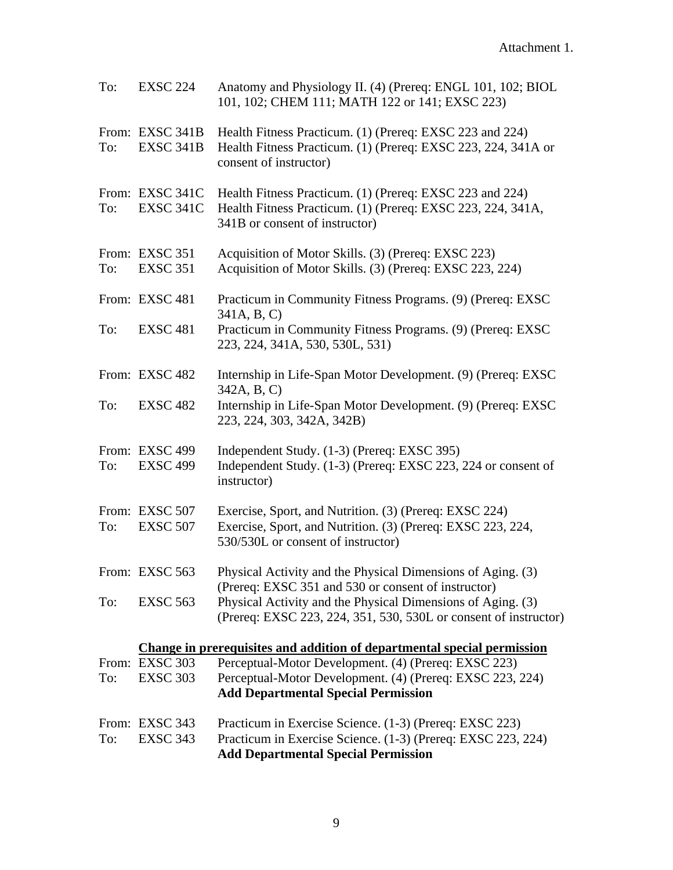| To: | <b>EXSC 224</b>                     | Anatomy and Physiology II. (4) (Prereq: ENGL 101, 102; BIOL<br>101, 102; CHEM 111; MATH 122 or 141; EXSC 223)                                               |
|-----|-------------------------------------|-------------------------------------------------------------------------------------------------------------------------------------------------------------|
| To: | From: EXSC 341B<br>EXSC 341B        | Health Fitness Practicum. (1) (Prereq: EXSC 223 and 224)<br>Health Fitness Practicum. (1) (Prereq: EXSC 223, 224, 341A or<br>consent of instructor)         |
| To: | From: EXSC 341C<br><b>EXSC 341C</b> | Health Fitness Practicum. (1) (Prereq: EXSC 223 and 224)<br>Health Fitness Practicum. (1) (Prereq: EXSC 223, 224, 341A,<br>341B or consent of instructor)   |
| To: | From: EXSC 351<br><b>EXSC 351</b>   | Acquisition of Motor Skills. (3) (Prereq: EXSC 223)<br>Acquisition of Motor Skills. (3) (Prereq: EXSC 223, 224)                                             |
|     | From: EXSC 481                      | Practicum in Community Fitness Programs. (9) (Prereq: EXSC)<br>341A, B, C)                                                                                  |
| To: | <b>EXSC 481</b>                     | Practicum in Community Fitness Programs. (9) (Prereq: EXSC<br>223, 224, 341A, 530, 530L, 531)                                                               |
|     | From: EXSC 482                      | Internship in Life-Span Motor Development. (9) (Prereq: EXSC)<br>342A, B, C)                                                                                |
| To: | <b>EXSC 482</b>                     | Internship in Life-Span Motor Development. (9) (Prereq: EXSC<br>223, 224, 303, 342A, 342B)                                                                  |
| To: | From: EXSC 499<br><b>EXSC 499</b>   | Independent Study. (1-3) (Prereq: EXSC 395)<br>Independent Study. (1-3) (Prereq: EXSC 223, 224 or consent of<br>instructor)                                 |
| To: | From: EXSC 507<br><b>EXSC 507</b>   | Exercise, Sport, and Nutrition. (3) (Prereq: EXSC 224)<br>Exercise, Sport, and Nutrition. (3) (Prereq: EXSC 223, 224,<br>530/530L or consent of instructor) |
|     | From: EXSC 563                      | Physical Activity and the Physical Dimensions of Aging. (3)<br>(Prereq: EXSC 351 and 530 or consent of instructor)                                          |
| To: | <b>EXSC 563</b>                     | Physical Activity and the Physical Dimensions of Aging. (3)<br>(Prereq: EXSC 223, 224, 351, 530, 530L or consent of instructor)                             |
|     |                                     | Change in prerequisites and addition of departmental special permission                                                                                     |
|     | From: EXSC 303                      | Perceptual-Motor Development. (4) (Prereq: EXSC 223)                                                                                                        |
| To: | <b>EXSC 303</b>                     | Perceptual-Motor Development. (4) (Prereq: EXSC 223, 224)<br><b>Add Departmental Special Permission</b>                                                     |
|     | From: EXSC 343                      | Practicum in Exercise Science. (1-3) (Prereq: EXSC 223)                                                                                                     |
| To: | <b>EXSC 343</b>                     | Practicum in Exercise Science. (1-3) (Prereq: EXSC 223, 224)                                                                                                |
|     |                                     | <b>Add Departmental Special Permission</b>                                                                                                                  |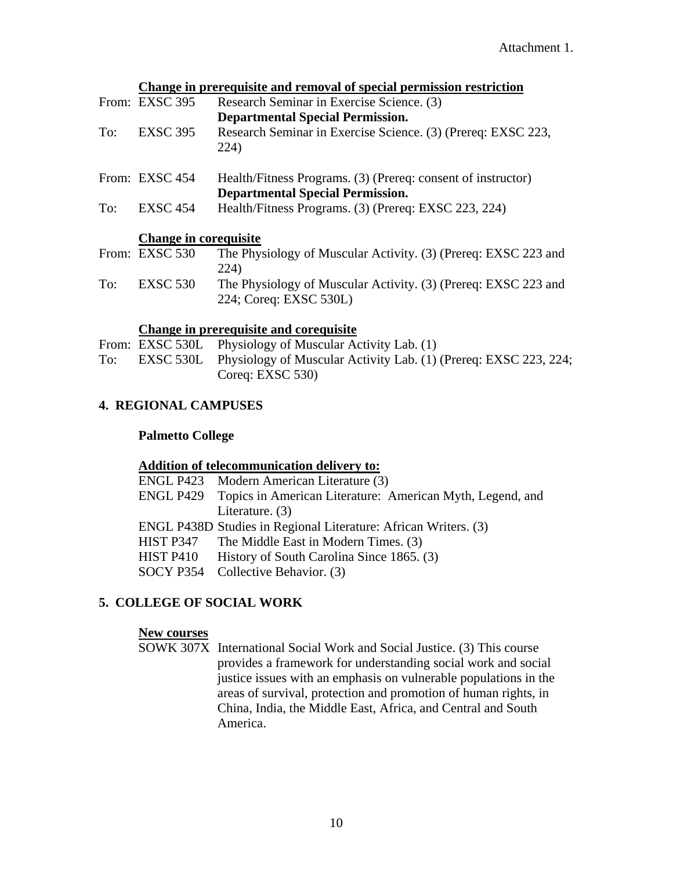|     |                       | Change in prerequisite and removal of special permission restriction |
|-----|-----------------------|----------------------------------------------------------------------|
|     | From: EXSC 395        | Research Seminar in Exercise Science. (3)                            |
|     |                       | <b>Departmental Special Permission.</b>                              |
| To: | <b>EXSC 395</b>       | Research Seminar in Exercise Science. (3) (Prereq: EXSC 223,         |
|     |                       | 224)                                                                 |
|     | From: EXSC 454        | Health/Fitness Programs. (3) (Prereq: consent of instructor)         |
|     |                       | <b>Departmental Special Permission.</b>                              |
| To: | <b>EXSC 454</b>       | Health/Fitness Programs. (3) (Prereq: EXSC 223, 224)                 |
|     | Change in corequisite |                                                                      |
|     | From: EXSC 530        | The Physiology of Muscular Activity. (3) (Prereq: EXSC 223 and       |
|     |                       | 224)                                                                 |
| To: | <b>EXSC 530</b>       | The Physiology of Muscular Activity. (3) (Prereq: EXSC 223 and       |
|     |                       | 224; Coreq: EXSC 530L)                                               |

# **Change in prerequisite and corequisite**

|     | From: EXSC 530L Physiology of Muscular Activity Lab. (1)                   |
|-----|----------------------------------------------------------------------------|
| To: | EXSC 530L Physiology of Muscular Activity Lab. (1) (Prereq: EXSC 223, 224; |
|     | Coreq: EXSC $530$ )                                                        |

## **4. REGIONAL CAMPUSES**

## **Palmetto College**

### **Addition of telecommunication delivery to:**

| ENGL P423 Modern American Literature (3)                            |
|---------------------------------------------------------------------|
| ENGL P429 Topics in American Literature: American Myth, Legend, and |
| Literature. $(3)$                                                   |
| ENGL P438D Studies in Regional Literature: African Writers. (3)     |
| HIST P347 The Middle East in Modern Times. (3)                      |
| History of South Carolina Since 1865. (3)                           |
| SOCY P354 Collective Behavior. (3)                                  |
|                                                                     |

### **5. COLLEGE OF SOCIAL WORK**

## **New courses**

SOWK 307X International Social Work and Social Justice. (3) This course provides a framework for understanding social work and social justice issues with an emphasis on vulnerable populations in the areas of survival, protection and promotion of human rights, in China, India, the Middle East, Africa, and Central and South America.